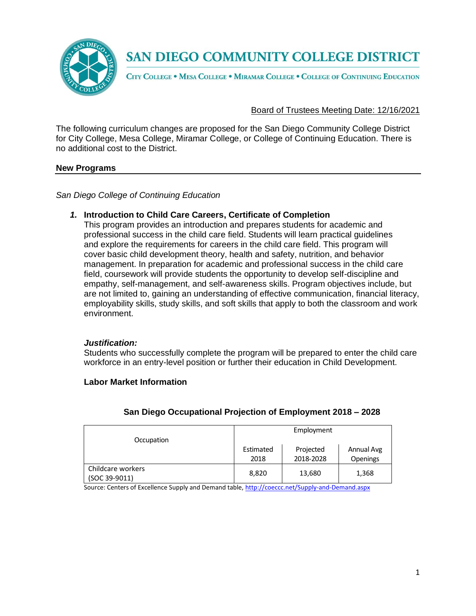

CITY COLLEGE . MESA COLLEGE . MIRAMAR COLLEGE . COLLEGE OF CONTINUING EDUCATION

#### Board of Trustees Meeting Date: 12/16/2021

The following curriculum changes are proposed for the San Diego Community College District for City College, Mesa College, Miramar College, or College of Continuing Education. There is no additional cost to the District.

#### **New Programs**

*San Diego College of Continuing Education*

#### *1.* **Introduction to Child Care Careers, Certificate of Completion**

This program provides an introduction and prepares students for academic and professional success in the child care field. Students will learn practical guidelines and explore the requirements for careers in the child care field. This program will cover basic child development theory, health and safety, nutrition, and behavior management. In preparation for academic and professional success in the child care field, coursework will provide students the opportunity to develop self-discipline and empathy, self-management, and self-awareness skills. Program objectives include, but are not limited to, gaining an understanding of effective communication, financial literacy, employability skills, study skills, and soft skills that apply to both the classroom and work environment.

#### *Justification:*

Students who successfully complete the program will be prepared to enter the child care workforce in an entry-level position or further their education in Child Development.

#### **Labor Market Information**

| Occupation                         | Employment        |                        |                               |  |  |
|------------------------------------|-------------------|------------------------|-------------------------------|--|--|
|                                    | Estimated<br>2018 | Projected<br>2018-2028 | Annual Avg<br><b>Openings</b> |  |  |
| Childcare workers<br>(SOC 39-9011) | 8,820             | 13,680                 | 1,368                         |  |  |

### **San Diego Occupational Projection of Employment 2018 – 2028**

Source: Centers of Excellence Supply and Demand table, <http://coeccc.net/Supply-and-Demand.aspx>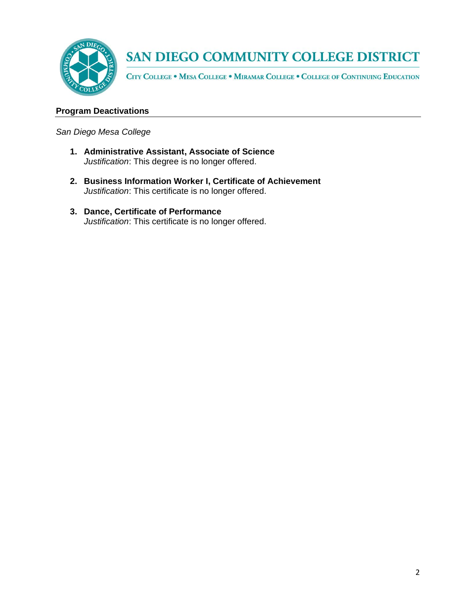

CITY COLLEGE . MESA COLLEGE . MIRAMAR COLLEGE . COLLEGE OF CONTINUING EDUCATION

## **Program Deactivations**

*San Diego Mesa College*

- **1. Administrative Assistant, Associate of Science**  *Justification*: This degree is no longer offered.
- **2. Business Information Worker I, Certificate of Achievement**  *Justification*: This certificate is no longer offered.
- **3. Dance, Certificate of Performance**  *Justification*: This certificate is no longer offered.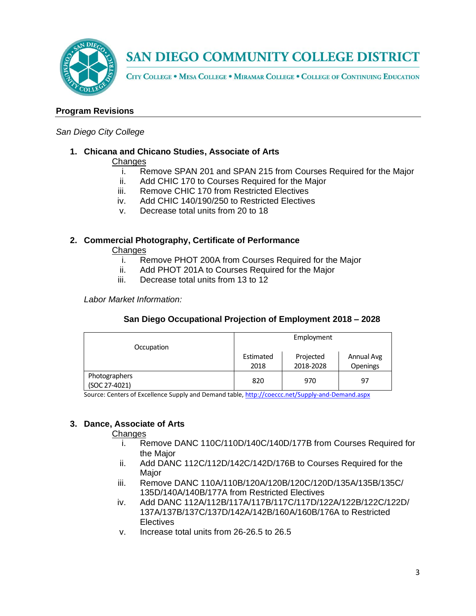

CITY COLLEGE . MESA COLLEGE . MIRAMAR COLLEGE . COLLEGE OF CONTINUING EDUCATION

### **Program Revisions**

#### *San Diego City College*

# **1. Chicana and Chicano Studies, Associate of Arts**

#### **Changes**

- i. Remove SPAN 201 and SPAN 215 from Courses Required for the Major
- ii. Add CHIC 170 to Courses Required for the Major
- iii. Remove CHIC 170 from Restricted Electives
- iv. Add CHIC 140/190/250 to Restricted Electives
- v. Decrease total units from 20 to 18

### **2. Commercial Photography, Certificate of Performance**

**Changes** 

- i. Remove PHOT 200A from Courses Required for the Major
- ii. Add PHOT 201A to Courses Required for the Major
- iii. Decrease total units from 13 to 12

*Labor Market Information:*

|                                  |           | Employment |            |
|----------------------------------|-----------|------------|------------|
| Occupation                       |           |            |            |
|                                  | Estimated | Projected  | Annual Avg |
|                                  | 2018      | 2018-2028  | Openings   |
| Photographers<br>(0.0027, 0.021) | 820       | 970        | 97         |

### **San Diego Occupational Projection of Employment 2018 – 2028**

Source: Centers of Excellence Supply and Demand table, <http://coeccc.net/Supply-and-Demand.aspx>

### **3. Dance, Associate of Arts**

(SOC 27-4021)

- i. Remove DANC 110C/110D/140C/140D/177B from Courses Required for the Major
- ii. Add DANC 112C/112D/142C/142D/176B to Courses Required for the **Major**
- iii. Remove DANC 110A/110B/120A/120B/120C/120D/135A/135B/135C/ 135D/140A/140B/177A from Restricted Electives
- iv. Add DANC 112A/112B/117A/117B/117C/117D/122A/122B/122C/122D/ 137A/137B/137C/137D/142A/142B/160A/160B/176A to Restricted **Electives**
- v. Increase total units from 26-26.5 to 26.5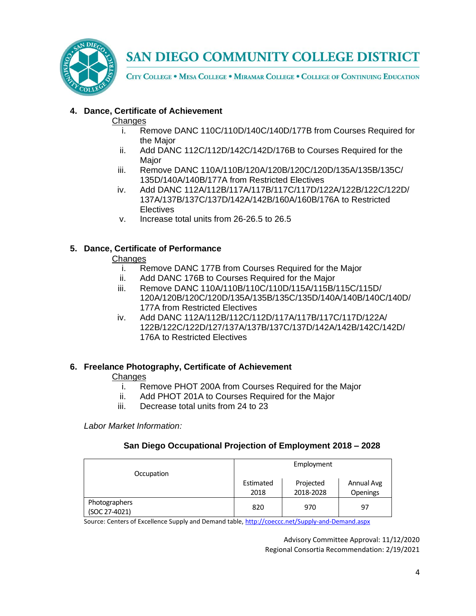

CITY COLLEGE . MESA COLLEGE . MIRAMAR COLLEGE . COLLEGE OF CONTINUING EDUCATION

## **4. Dance, Certificate of Achievement**

### **Changes**

- i. Remove DANC 110C/110D/140C/140D/177B from Courses Required for the Major
- ii. Add DANC 112C/112D/142C/142D/176B to Courses Required for the Major
- iii. Remove DANC 110A/110B/120A/120B/120C/120D/135A/135B/135C/ 135D/140A/140B/177A from Restricted Electives
- iv. Add DANC 112A/112B/117A/117B/117C/117D/122A/122B/122C/122D/ 137A/137B/137C/137D/142A/142B/160A/160B/176A to Restricted **Electives**
- v. Increase total units from 26-26.5 to 26.5

## **5. Dance, Certificate of Performance**

### **Changes**

- i. Remove DANC 177B from Courses Required for the Major
- ii. Add DANC 176B to Courses Required for the Major
- iii. Remove DANC 110A/110B/110C/110D/115A/115B/115C/115D/ 120A/120B/120C/120D/135A/135B/135C/135D/140A/140B/140C/140D/ 177A from Restricted Electives
- iv. Add DANC 112A/112B/112C/112D/117A/117B/117C/117D/122A/ 122B/122C/122D/127/137A/137B/137C/137D/142A/142B/142C/142D/ 176A to Restricted Electives

### **6. Freelance Photography, Certificate of Achievement**

### **Changes**

- i. Remove PHOT 200A from Courses Required for the Major
- ii. Add PHOT 201A to Courses Required for the Major
- iii. Decrease total units from 24 to 23

*Labor Market Information:*

### **San Diego Occupational Projection of Employment 2018 – 2028**

| Occupation                     |                                                                              | Employment |    |  |
|--------------------------------|------------------------------------------------------------------------------|------------|----|--|
|                                | Annual Avg<br>Estimated<br>Projected<br><b>Openings</b><br>2018-2028<br>2018 |            |    |  |
| Photographers<br>(SOC 27-4021) | 820                                                                          | 970        | 97 |  |

Source: Centers of Excellence Supply and Demand table, <http://coeccc.net/Supply-and-Demand.aspx>

Advisory Committee Approval: 11/12/2020 Regional Consortia Recommendation: 2/19/2021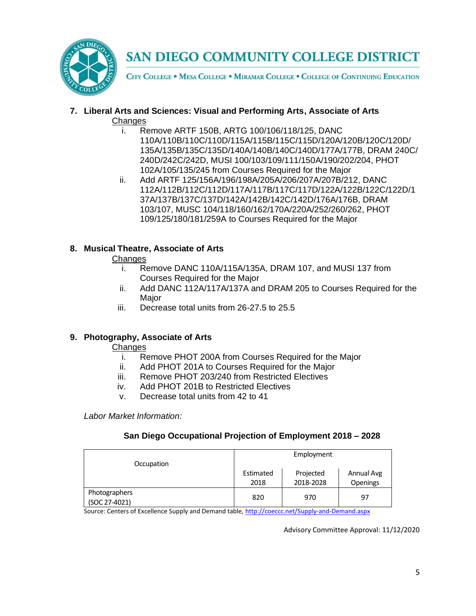

CITY COLLEGE . MESA COLLEGE . MIRAMAR COLLEGE . COLLEGE OF CONTINUING EDUCATION

## **7. Liberal Arts and Sciences: Visual and Performing Arts, Associate of Arts Changes**

- i. Remove ARTF 150B, ARTG 100/106/118/125, DANC 110A/110B/110C/110D/115A/115B/115C/115D/120A/120B/120C/120D/ 135A/135B/135C/135D/140A/140B/140C/140D/177A/177B, DRAM 240C/ 240D/242C/242D, MUSI 100/103/109/111/150A/190/202/204, PHOT 102A/105/135/245 from Courses Required for the Major
- ii. Add ARTF 125/156A/196/198A/205A/206/207A/207B/212, DANC 112A/112B/112C/112D/117A/117B/117C/117D/122A/122B/122C/122D/1 37A/137B/137C/137D/142A/142B/142C/142D/176A/176B, DRAM 103/107, MUSC 104/118/160/162/170A/220A/252/260/262, PHOT 109/125/180/181/259A to Courses Required for the Major

# **8. Musical Theatre, Associate of Arts**

### **Changes**

- i. Remove DANC 110A/115A/135A, DRAM 107, and MUSI 137 from Courses Required for the Major
- ii. Add DANC 112A/117A/137A and DRAM 205 to Courses Required for the Major
- iii. Decrease total units from 26-27.5 to 25.5

# **9. Photography, Associate of Arts**

### **Changes**

- i. Remove PHOT 200A from Courses Required for the Major
- ii. Add PHOT 201A to Courses Required for the Major
- iii. Remove PHOT 203/240 from Restricted Electives
- iv. Add PHOT 201B to Restricted Electives
- v. Decrease total units from 42 to 41

*Labor Market Information:*

### **San Diego Occupational Projection of Employment 2018 – 2028**

| Occupation                     | Employment        |                        |                        |  |
|--------------------------------|-------------------|------------------------|------------------------|--|
|                                | Estimated<br>2018 | Projected<br>2018-2028 | Annual Avg<br>Openings |  |
| Photographers<br>(SOC 27-4021) | 820               | 970                    | 97                     |  |

Source: Centers of Excellence Supply and Demand table, <http://coeccc.net/Supply-and-Demand.aspx>

Advisory Committee Approval: 11/12/2020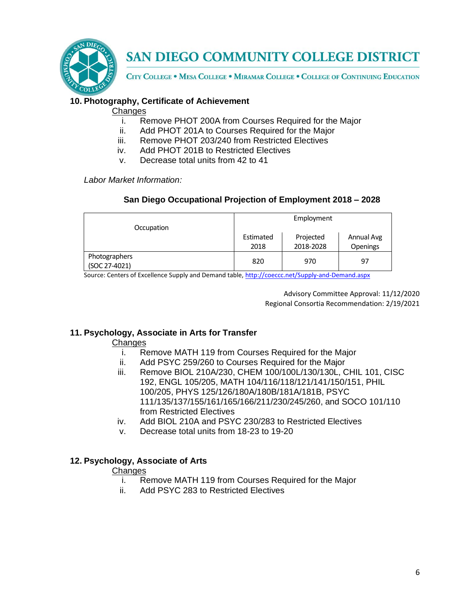

CITY COLLEGE . MESA COLLEGE . MIRAMAR COLLEGE . COLLEGE OF CONTINUING EDUCATION

## **10. Photography, Certificate of Achievement**

#### **Changes**

- i. Remove PHOT 200A from Courses Required for the Major
- ii. Add PHOT 201A to Courses Required for the Major
- iii. Remove PHOT 203/240 from Restricted Electives
- iv. Add PHOT 201B to Restricted Electives
- v. Decrease total units from 42 to 41

*Labor Market Information:*

### **San Diego Occupational Projection of Employment 2018 – 2028**

| Occupation                     | Employment        |                        |                        |  |
|--------------------------------|-------------------|------------------------|------------------------|--|
|                                | Estimated<br>2018 | Projected<br>2018-2028 | Annual Avg<br>Openings |  |
| Photographers<br>(SOC 27-4021) | 820               | 970                    | 97                     |  |

Source: Centers of Excellence Supply and Demand table, <http://coeccc.net/Supply-and-Demand.aspx>

Advisory Committee Approval: 11/12/2020 Regional Consortia Recommendation: 2/19/2021

### **11. Psychology, Associate in Arts for Transfer**

**Changes** 

- i. Remove MATH 119 from Courses Required for the Major
- ii. Add PSYC 259/260 to Courses Required for the Major
- iii. Remove BIOL 210A/230, CHEM 100/100L/130/130L, CHIL 101, CISC 192, ENGL 105/205, MATH 104/116/118/121/141/150/151, PHIL 100/205, PHYS 125/126/180A/180B/181A/181B, PSYC 111/135/137/155/161/165/166/211/230/245/260, and SOCO 101/110 from Restricted Electives
- iv. Add BIOL 210A and PSYC 230/283 to Restricted Electives
- v. Decrease total units from 18-23 to 19-20

### **12. Psychology, Associate of Arts**

- i. Remove MATH 119 from Courses Required for the Major
- ii. Add PSYC 283 to Restricted Electives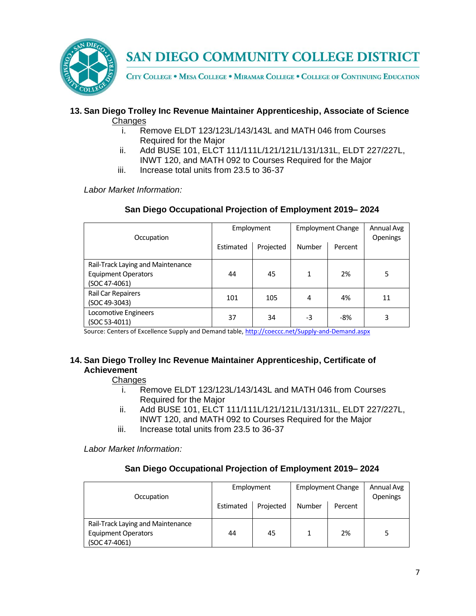

CITY COLLEGE . MESA COLLEGE . MIRAMAR COLLEGE . COLLEGE OF CONTINUING EDUCATION

#### **13. San Diego Trolley Inc Revenue Maintainer Apprenticeship, Associate of Science Changes**

- i. Remove ELDT 123/123L/143/143L and MATH 046 from Courses Required for the Major
- ii. Add BUSE 101, ELCT 111/111L/121/121L/131/131L, ELDT 227/227L, INWT 120, and MATH 092 to Courses Required for the Major
- iii. Increase total units from 23.5 to 36-37

*Labor Market Information:*

| Occupation                        | Employment |           | <b>Employment Change</b> |         | Annual Avg<br><b>Openings</b> |
|-----------------------------------|------------|-----------|--------------------------|---------|-------------------------------|
|                                   | Estimated  | Projected | Number                   | Percent |                               |
| Rail-Track Laying and Maintenance |            |           |                          |         |                               |
| <b>Equipment Operators</b>        | 44         | 45        | 1                        | 2%      | 5                             |
| (SOC 47-4061)                     |            |           |                          |         |                               |
| Rail Car Repairers                | 101        | 105       | 4                        | 4%      | 11                            |
| (SOC 49-3043)                     |            |           |                          |         |                               |
| Locomotive Engineers              | 37         | 34        | -3                       | $-8%$   | 3                             |
| (SOC 53-4011)                     |            |           |                          |         |                               |

### **San Diego Occupational Projection of Employment 2019– 2024**

Source: Centers of Excellence Supply and Demand table, <http://coeccc.net/Supply-and-Demand.aspx>

### **14. San Diego Trolley Inc Revenue Maintainer Apprenticeship, Certificate of Achievement**

### **Changes**

- i. Remove ELDT 123/123L/143/143L and MATH 046 from Courses Required for the Major
- ii. Add BUSE 101, ELCT 111/111L/121/121L/131/131L, ELDT 227/227L, INWT 120, and MATH 092 to Courses Required for the Major
- iii. Increase total units from 23.5 to 36-37

*Labor Market Information:*

### **San Diego Occupational Projection of Employment 2019– 2024**

| Occupation                        | Employment |           | <b>Employment Change</b> |         | Annual Avg<br>Openings |
|-----------------------------------|------------|-----------|--------------------------|---------|------------------------|
|                                   | Estimated  | Projected | Number                   | Percent |                        |
| Rail-Track Laying and Maintenance |            |           |                          |         |                        |
| <b>Equipment Operators</b>        | 44         | 45        |                          | 2%      |                        |
| (SOC 47-4061)                     |            |           |                          |         |                        |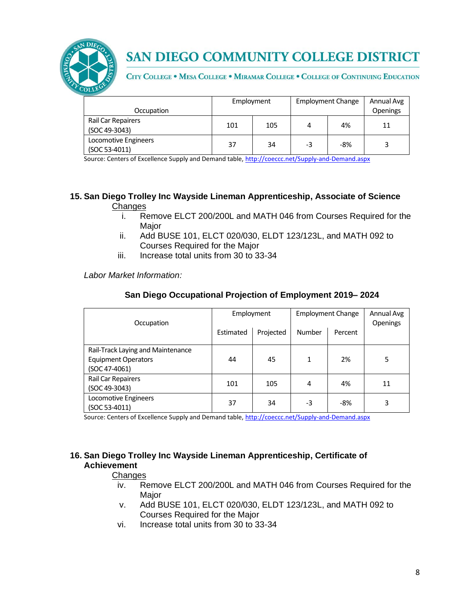

CITY COLLEGE . MESA COLLEGE . MIRAMAR COLLEGE . COLLEGE OF CONTINUING EDUCATION

| Occupation                            | Employment |     | <b>Employment Change</b> |       | Annual Avg<br>Openings |
|---------------------------------------|------------|-----|--------------------------|-------|------------------------|
| Rail Car Repairers<br>(SOC 49-3043)   | 101        | 105 | 4                        | 4%    | 11                     |
| Locomotive Engineers<br>(SOC 53-4011) | 37         | 34  | -3                       | $-8%$ |                        |

Source: Centers of Excellence Supply and Demand table, <http://coeccc.net/Supply-and-Demand.aspx>

#### **15. San Diego Trolley Inc Wayside Lineman Apprenticeship, Associate of Science Changes**

- i. Remove ELCT 200/200L and MATH 046 from Courses Required for the Major
- ii. Add BUSE 101, ELCT 020/030, ELDT 123/123L, and MATH 092 to Courses Required for the Major
- iii. Increase total units from 30 to 33-34

*Labor Market Information:*

| Occupation                        | Employment |           | <b>Employment Change</b> |         | Annual Avg<br><b>Openings</b> |
|-----------------------------------|------------|-----------|--------------------------|---------|-------------------------------|
|                                   | Estimated  | Projected | Number                   | Percent |                               |
| Rail-Track Laying and Maintenance |            |           |                          |         |                               |
| <b>Equipment Operators</b>        | 44         | 45        | 1                        | 2%      | 5                             |
| (SOC 47-4061)                     |            |           |                          |         |                               |
| Rail Car Repairers                | 101        | 105       | 4                        | 4%      | 11                            |
| (SOC 49-3043)                     |            |           |                          |         |                               |
| Locomotive Engineers              | 37         | 34        | -3                       | $-8%$   | 3                             |
| (SOC 53-4011)                     |            |           |                          |         |                               |

Source: Centers of Excellence Supply and Demand table, <http://coeccc.net/Supply-and-Demand.aspx>

#### **16. San Diego Trolley Inc Wayside Lineman Apprenticeship, Certificate of Achievement**

- iv. Remove ELCT 200/200L and MATH 046 from Courses Required for the Major
- v. Add BUSE 101, ELCT 020/030, ELDT 123/123L, and MATH 092 to Courses Required for the Major
- vi. Increase total units from 30 to 33-34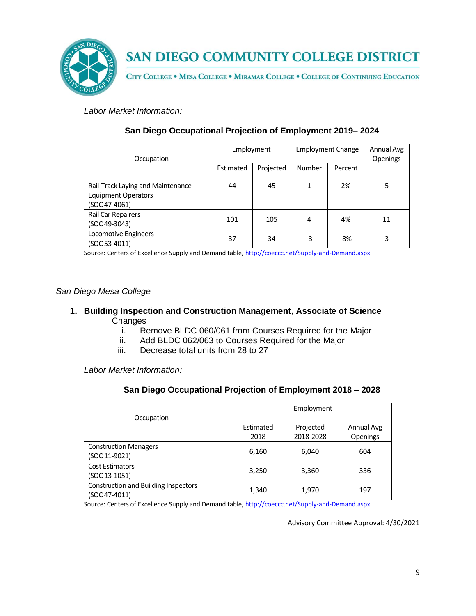

CITY COLLEGE . MESA COLLEGE . MIRAMAR COLLEGE . COLLEGE OF CONTINUING EDUCATION

*Labor Market Information:*

| Occupation                                                                       | Employment |           | <b>Employment Change</b> |         | Annual Avg<br>Openings |
|----------------------------------------------------------------------------------|------------|-----------|--------------------------|---------|------------------------|
|                                                                                  | Estimated  | Projected | <b>Number</b>            | Percent |                        |
| Rail-Track Laying and Maintenance<br><b>Equipment Operators</b><br>(SOC 47-4061) | 44         | 45        |                          | 2%      | 5                      |
| Rail Car Repairers<br>(SOC 49-3043)                                              | 101        | 105       | 4                        | 4%      | 11                     |
| Locomotive Engineers<br>(SOC 53-4011)                                            | 37         | 34        | -3                       | $-8%$   | 3                      |

## **San Diego Occupational Projection of Employment 2019– 2024**

Source: Centers of Excellence Supply and Demand table, <http://coeccc.net/Supply-and-Demand.aspx>

### *San Diego Mesa College*

### **1. Building Inspection and Construction Management, Associate of Science**  Changes

- i. Remove BLDC 060/061 from Courses Required for the Major
- ii. Add BLDC 062/063 to Courses Required for the Major
- iii. Decrease total units from 28 to 27

*Labor Market Information:*

### **San Diego Occupational Projection of Employment 2018 – 2028**

|                                                              | Employment |           |            |  |  |
|--------------------------------------------------------------|------------|-----------|------------|--|--|
| Occupation                                                   |            |           |            |  |  |
|                                                              | Estimated  | Projected | Annual Avg |  |  |
|                                                              | 2018       | 2018-2028 | Openings   |  |  |
| <b>Construction Managers</b><br>(SOC 11-9021)                | 6,160      | 6,040     | 604        |  |  |
| <b>Cost Estimators</b><br>(SOC 13-1051)                      | 3,250      | 3,360     | 336        |  |  |
| <b>Construction and Building Inspectors</b><br>(SOC 47-4011) | 1,340      | 1,970     | 197        |  |  |

Source: Centers of Excellence Supply and Demand table, <http://coeccc.net/Supply-and-Demand.aspx>

Advisory Committee Approval: 4/30/2021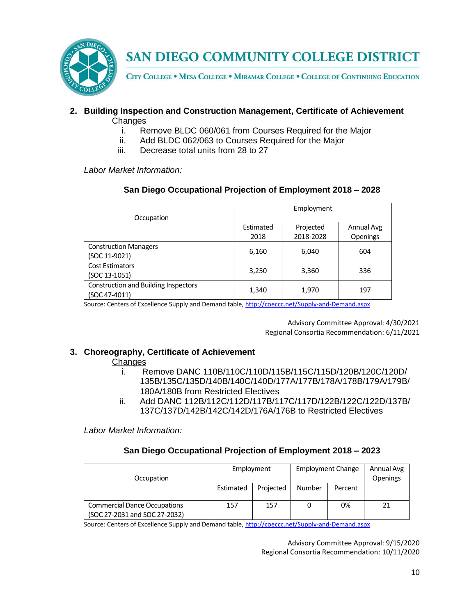

CITY COLLEGE . MESA COLLEGE . MIRAMAR COLLEGE . COLLEGE OF CONTINUING EDUCATION

### **2. Building Inspection and Construction Management, Certificate of Achievement Changes**

- i. Remove BLDC 060/061 from Courses Required for the Major
- ii. Add BLDC 062/063 to Courses Required for the Major
- iii. Decrease total units from 28 to 27

*Labor Market Information:*

| San Diego Occupational Projection of Employment 2018 - 2028 |
|-------------------------------------------------------------|
|-------------------------------------------------------------|

|                                             |           | Employment |            |
|---------------------------------------------|-----------|------------|------------|
| Occupation                                  |           |            |            |
|                                             | Estimated | Projected  | Annual Avg |
|                                             | 2018      | 2018-2028  | Openings   |
| <b>Construction Managers</b>                |           | 6,040      | 604        |
| (SOC 11-9021)                               | 6,160     |            |            |
| <b>Cost Estimators</b>                      |           |            |            |
| (SOC 13-1051)                               | 3,250     | 3,360      | 336        |
| <b>Construction and Building Inspectors</b> |           |            |            |
| (SOC 47-4011)                               | 1,340     | 1,970      | 197        |

Source: Centers of Excellence Supply and Demand table, <http://coeccc.net/Supply-and-Demand.aspx>

Advisory Committee Approval: 4/30/2021 Regional Consortia Recommendation: 6/11/2021

### **3. Choreography, Certificate of Achievement**

#### **Changes**

- i. Remove DANC 110B/110C/110D/115B/115C/115D/120B/120C/120D/ 135B/135C/135D/140B/140C/140D/177A/177B/178A/178B/179A/179B/ 180A/180B from Restricted Electives
- ii. Add DANC 112B/112C/112D/117B/117C/117D/122B/122C/122D/137B/ 137C/137D/142B/142C/142D/176A/176B to Restricted Electives

*Labor Market Information:*

### **San Diego Occupational Projection of Employment 2018 – 2023**

| Occupation                                                           | Employment |           | <b>Employment Change</b> |         | Annual Avg<br><b>Openings</b> |
|----------------------------------------------------------------------|------------|-----------|--------------------------|---------|-------------------------------|
|                                                                      | Estimated  | Projected | <b>Number</b>            | Percent |                               |
| <b>Commercial Dance Occupations</b><br>(SOC 27-2031 and SOC 27-2032) | 157        | 157       |                          | 0%      | 21                            |

Source: Centers of Excellence Supply and Demand table, <http://coeccc.net/Supply-and-Demand.aspx>

Advisory Committee Approval: 9/15/2020 Regional Consortia Recommendation: 10/11/2020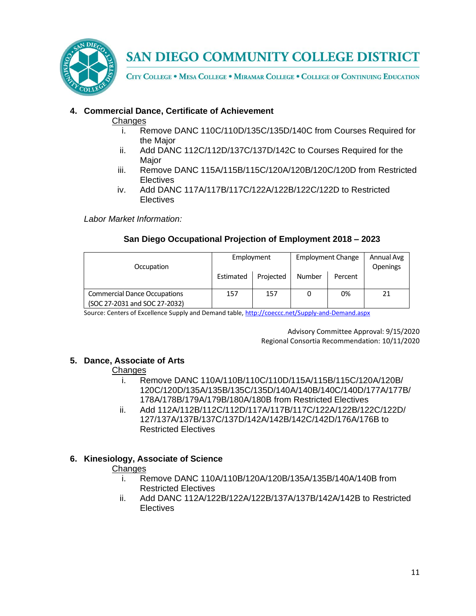

CITY COLLEGE . MESA COLLEGE . MIRAMAR COLLEGE . COLLEGE OF CONTINUING EDUCATION

# **4. Commercial Dance, Certificate of Achievement**

### **Changes**

- i. Remove DANC 110C/110D/135C/135D/140C from Courses Required for the Major
- ii. Add DANC 112C/112D/137C/137D/142C to Courses Required for the Major
- iii. Remove DANC 115A/115B/115C/120A/120B/120C/120D from Restricted **Electives**
- iv. Add DANC 117A/117B/117C/122A/122B/122C/122D to Restricted **Electives**

*Labor Market Information:*

# **San Diego Occupational Projection of Employment 2018 – 2023**

| Occupation                                                           | Employment |           | <b>Employment Change</b> |         | Annual Avg<br>Openings |
|----------------------------------------------------------------------|------------|-----------|--------------------------|---------|------------------------|
|                                                                      | Estimated  | Projected | <b>Number</b>            | Percent |                        |
| <b>Commercial Dance Occupations</b><br>(SOC 27-2031 and SOC 27-2032) | 157        | 157       |                          | 0%      | 21                     |

Source: Centers of Excellence Supply and Demand table, <http://coeccc.net/Supply-and-Demand.aspx>

Advisory Committee Approval: 9/15/2020 Regional Consortia Recommendation: 10/11/2020

### **5. Dance, Associate of Arts**

### **Changes**

- i. Remove DANC 110A/110B/110C/110D/115A/115B/115C/120A/120B/ 120C/120D/135A/135B/135C/135D/140A/140B/140C/140D/177A/177B/ 178A/178B/179A/179B/180A/180B from Restricted Electives
- ii. Add 112A/112B/112C/112D/117A/117B/117C/122A/122B/122C/122D/ 127/137A/137B/137C/137D/142A/142B/142C/142D/176A/176B to Restricted Electives

# **6. Kinesiology, Associate of Science**

- i. Remove DANC 110A/110B/120A/120B/135A/135B/140A/140B from Restricted Electives
- ii. Add DANC 112A/122B/122A/122B/137A/137B/142A/142B to Restricted **Electives**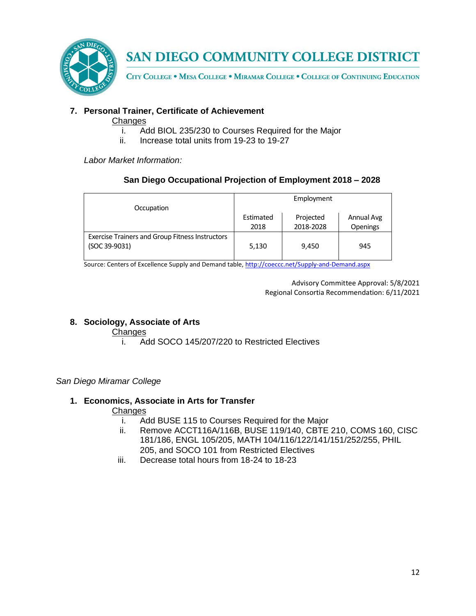

CITY COLLEGE . MESA COLLEGE . MIRAMAR COLLEGE . COLLEGE OF CONTINUING EDUCATION

# **7. Personal Trainer, Certificate of Achievement**

### **Changes**

- i. Add BIOL 235/230 to Courses Required for the Major
- ii. Increase total units from 19-23 to 19-27

*Labor Market Information:*

## **San Diego Occupational Projection of Employment 2018 – 2028**

| Occupation                                                              | Employment        |                        |                        |  |
|-------------------------------------------------------------------------|-------------------|------------------------|------------------------|--|
|                                                                         | Estimated<br>2018 | Projected<br>2018-2028 | Annual Avg<br>Openings |  |
| <b>Exercise Trainers and Group Fitness Instructors</b><br>(SOC 39-9031) | 5,130             | 9,450                  | 945                    |  |

Source: Centers of Excellence Supply and Demand table, <http://coeccc.net/Supply-and-Demand.aspx>

Advisory Committee Approval: 5/8/2021 Regional Consortia Recommendation: 6/11/2021

### **8. Sociology, Associate of Arts**

## Changes

i. Add SOCO 145/207/220 to Restricted Electives

### *San Diego Miramar College*

### **1. Economics, Associate in Arts for Transfer**

- i. Add BUSE 115 to Courses Required for the Major
- ii. Remove ACCT116A/116B, BUSE 119/140, CBTE 210, COMS 160, CISC 181/186, ENGL 105/205, MATH 104/116/122/141/151/252/255, PHIL 205, and SOCO 101 from Restricted Electives
- iii. Decrease total hours from 18-24 to 18-23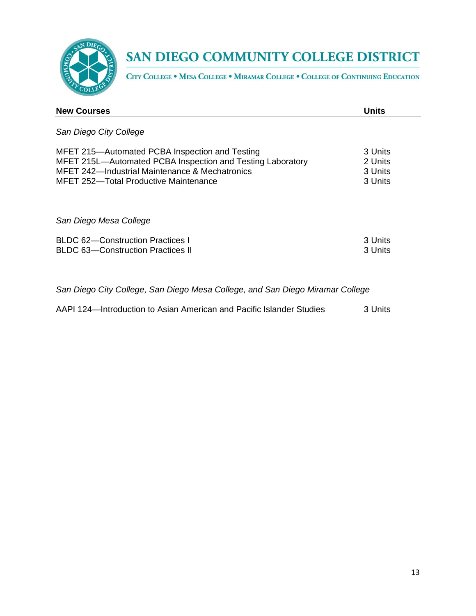

CITY COLLEGE . MESA COLLEGE . MIRAMAR COLLEGE . COLLEGE OF CONTINUING EDUCATION

| <b>New Courses</b>                                                                                                                                                                                      | Units                                    |
|---------------------------------------------------------------------------------------------------------------------------------------------------------------------------------------------------------|------------------------------------------|
| San Diego City College                                                                                                                                                                                  |                                          |
| MFET 215—Automated PCBA Inspection and Testing<br>MFET 215L-Automated PCBA Inspection and Testing Laboratory<br>MFET 242-Industrial Maintenance & Mechatronics<br>MFET 252-Total Productive Maintenance | 3 Units<br>2 Units<br>3 Units<br>3 Units |
| San Diego Mesa College                                                                                                                                                                                  |                                          |
| BLDC 62-Construction Practices I<br><b>BLDC 63-Construction Practices II</b>                                                                                                                            | 3 Units<br>3 Units                       |

*San Diego City College, San Diego Mesa College, and San Diego Miramar College*

AAPI 124—Introduction to Asian American and Pacific Islander Studies 3 Units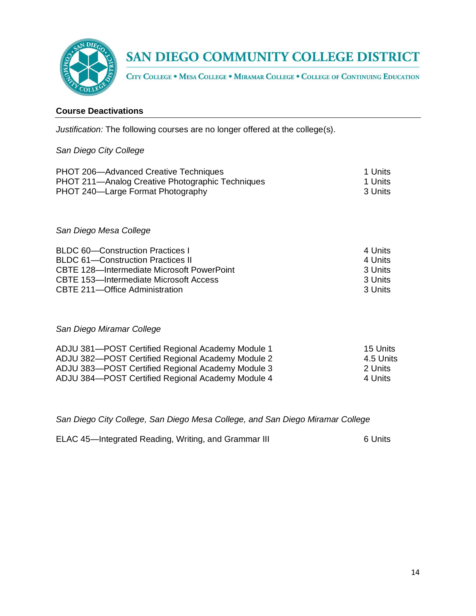

CITY COLLEGE . MESA COLLEGE . MIRAMAR COLLEGE . COLLEGE OF CONTINUING EDUCATION

### **Course Deactivations**

*Justification:* The following courses are no longer offered at the college(s).

#### *San Diego City College*

| <b>PHOT 206-Advanced Creative Techniques</b>     | 1 Units |
|--------------------------------------------------|---------|
| PHOT 211—Analog Creative Photographic Techniques | 1 Units |
| PHOT 240—Large Format Photography                | 3 Units |
|                                                  |         |

*San Diego Mesa College*

| <b>BLDC 60-Construction Practices I</b>    | 4 Units    |
|--------------------------------------------|------------|
| <b>BLDC 61–Construction Practices II</b>   | 4 Units    |
| CBTE 128—Intermediate Microsoft PowerPoint | -3 Units   |
| CBTE 153-Intermediate Microsoft Access     | -3 Units   |
| CBTE 211-Office Administration             | -3 Units - |

*San Diego Miramar College*

| ADJU 381-POST Certified Regional Academy Module 1 | 15 Units  |
|---------------------------------------------------|-----------|
| ADJU 382-POST Certified Regional Academy Module 2 | 4.5 Units |
| ADJU 383-POST Certified Regional Academy Module 3 | -2 Units  |
| ADJU 384-POST Certified Regional Academy Module 4 | 4 Units   |

*San Diego City College, San Diego Mesa College, and San Diego Miramar College*

ELAC 45—Integrated Reading, Writing, and Grammar III 6 Units